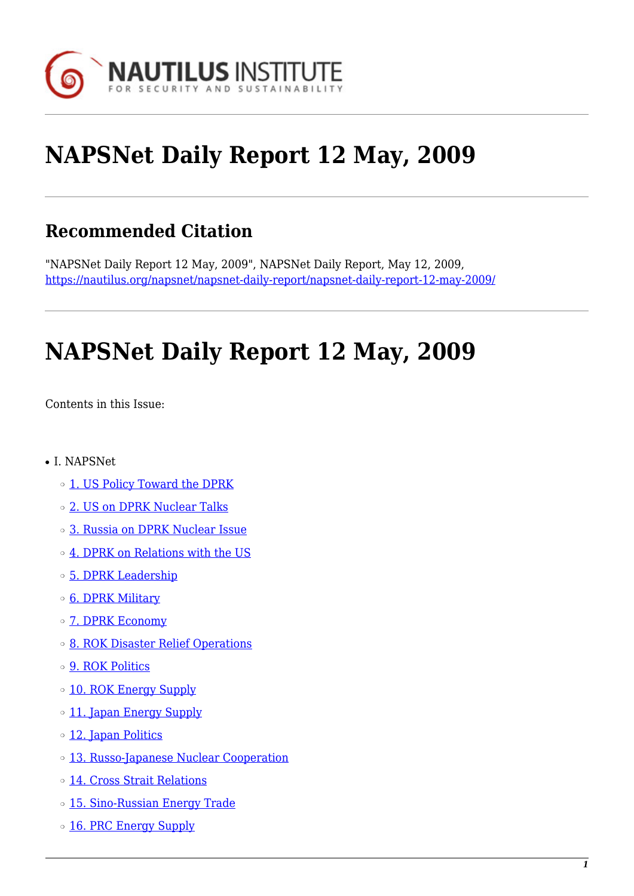

# **NAPSNet Daily Report 12 May, 2009**

## **Recommended Citation**

"NAPSNet Daily Report 12 May, 2009", NAPSNet Daily Report, May 12, 2009, <https://nautilus.org/napsnet/napsnet-daily-report/napsnet-daily-report-12-may-2009/>

# **NAPSNet Daily Report 12 May, 2009**

<span id="page-0-0"></span>Contents in this Issue:

- I. NAPSNet
	- ❍ [1. US Policy Toward the DPRK](#page-1-0)
	- o [2. US on DPRK Nuclear Talks](#page-1-1)
	- ❍ [3. Russia on DPRK Nuclear Issue](#page-1-2)
	- ❍ [4. DPRK on Relations with the US](#page-2-0)
	- ❍ [5. DPRK Leadership](#page-2-1)
	- o [6. DPRK Military](#page-2-2)
	- o **[7. DPRK Economy](#page-2-3)**
	- ❍ [8. ROK Disaster Relief Operations](#page-3-0)
	- ❍ [9. ROK Politics](#page-3-1)
	- o [10. ROK Energy Supply](#page-3-2)
	- o [11. Japan Energy Supply](#page-4-0)
	- ❍ [12. Japan Politics](#page-4-1)
	- o [13. Russo-Japanese Nuclear Cooperation](#page-4-2)
	- ❍ [14. Cross Strait Relations](#page-4-3)
	- o [15. Sino-Russian Energy Trade](#page-5-0)
	- o [16. PRC Energy Supply](#page-5-1)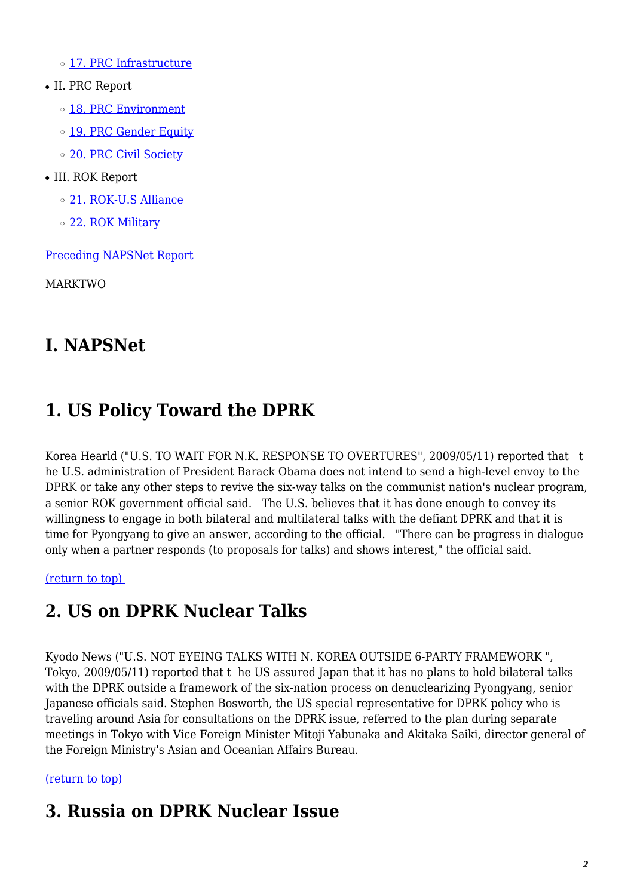❍ [17. PRC Infrastructure](#page-6-0)

- II. PRC Report
	- o [18. PRC Environment](#page-6-1)
	- o [19. PRC Gender Equity](#page-6-2)
	- o [20. PRC Civil Society](#page-6-3)
- III. ROK Report
	- ❍ [21. ROK-U.S Alliance](#page-7-0)
	- o [22. ROK Military](#page-7-1)

[Preceding NAPSNet Report](https://nautilus.org/mailing-lists/napsnet/dr/2009-2/napsnet-daily-report-11-may-2009/)

MARKTWO

## **I. NAPSNet**

## <span id="page-1-0"></span>**1. US Policy Toward the DPRK**

Korea Hearld ("U.S. TO WAIT FOR N.K. RESPONSE TO OVERTURES", 2009/05/11) reported that t he U.S. administration of President Barack Obama does not intend to send a high-level envoy to the DPRK or take any other steps to revive the six-way talks on the communist nation's nuclear program, a senior ROK government official said. The U.S. believes that it has done enough to convey its willingness to engage in both bilateral and multilateral talks with the defiant DPRK and that it is time for Pyongyang to give an answer, according to the official. "There can be progress in dialogue only when a partner responds (to proposals for talks) and shows interest," the official said.

<span id="page-1-1"></span>[\(return to top\)](#page-0-0) 

## **2. US on DPRK Nuclear Talks**

Kyodo News ("U.S. NOT EYEING TALKS WITH N. KOREA OUTSIDE 6-PARTY FRAMEWORK ", Tokyo, 2009/05/11) reported that t he US assured Japan that it has no plans to hold bilateral talks with the DPRK outside a framework of the six-nation process on denuclearizing Pyongyang, senior Japanese officials said. Stephen Bosworth, the US special representative for DPRK policy who is traveling around Asia for consultations on the DPRK issue, referred to the plan during separate meetings in Tokyo with Vice Foreign Minister Mitoji Yabunaka and Akitaka Saiki, director general of the Foreign Ministry's Asian and Oceanian Affairs Bureau.

### <span id="page-1-2"></span>[\(return to top\)](#page-0-0)

## **3. Russia on DPRK Nuclear Issue**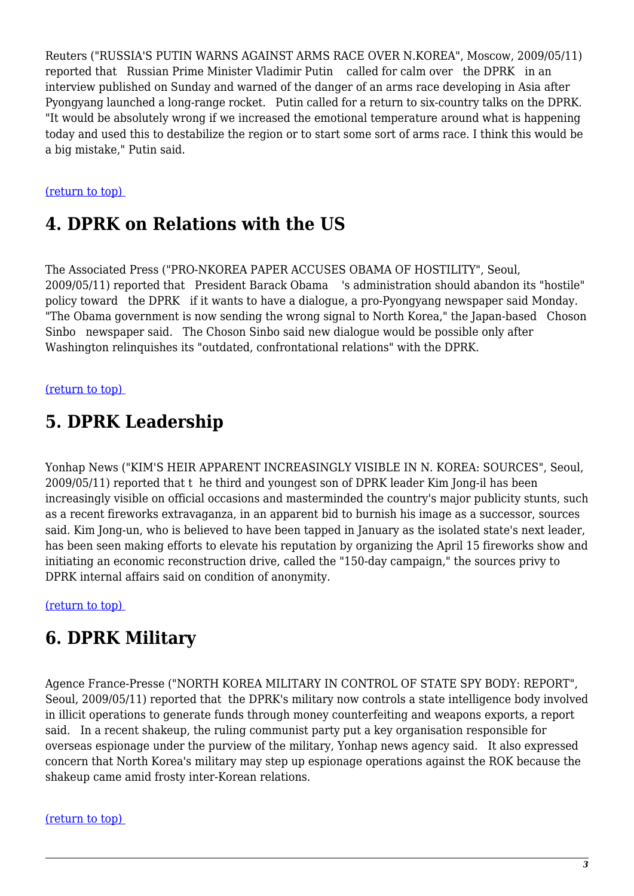Reuters ("RUSSIA'S PUTIN WARNS AGAINST ARMS RACE OVER N.KOREA", Moscow, 2009/05/11) reported that Russian Prime Minister Vladimir Putin called for calm over the DPRK in an interview published on Sunday and warned of the danger of an arms race developing in Asia after Pyongyang launched a long-range rocket. Putin called for a return to six-country talks on the DPRK. "It would be absolutely wrong if we increased the emotional temperature around what is happening today and used this to destabilize the region or to start some sort of arms race. I think this would be a big mistake," Putin said.

#### <span id="page-2-0"></span>[\(return to top\)](#page-0-0)

## **4. DPRK on Relations with the US**

The Associated Press ("PRO-NKOREA PAPER ACCUSES OBAMA OF HOSTILITY", Seoul, 2009/05/11) reported that President Barack Obama 's administration should abandon its "hostile" policy toward the DPRK if it wants to have a dialogue, a pro-Pyongyang newspaper said Monday. "The Obama government is now sending the wrong signal to North Korea," the Japan-based Choson Sinbo newspaper said. The Choson Sinbo said new dialogue would be possible only after Washington relinquishes its "outdated, confrontational relations" with the DPRK.

#### <span id="page-2-1"></span>[\(return to top\)](#page-0-0)

### **5. DPRK Leadership**

Yonhap News ("KIM'S HEIR APPARENT INCREASINGLY VISIBLE IN N. KOREA: SOURCES", Seoul, 2009/05/11) reported that t he third and youngest son of DPRK leader Kim Jong-il has been increasingly visible on official occasions and masterminded the country's major publicity stunts, such as a recent fireworks extravaganza, in an apparent bid to burnish his image as a successor, sources said. Kim Jong-un, who is believed to have been tapped in January as the isolated state's next leader, has been seen making efforts to elevate his reputation by organizing the April 15 fireworks show and initiating an economic reconstruction drive, called the "150-day campaign," the sources privy to DPRK internal affairs said on condition of anonymity.

<span id="page-2-2"></span>[\(return to top\)](#page-0-0) 

### **6. DPRK Military**

Agence France-Presse ("NORTH KOREA MILITARY IN CONTROL OF STATE SPY BODY: REPORT", Seoul, 2009/05/11) reported that the DPRK's military now controls a state intelligence body involved in illicit operations to generate funds through money counterfeiting and weapons exports, a report said. In a recent shakeup, the ruling communist party put a key organisation responsible for overseas espionage under the purview of the military, Yonhap news agency said. It also expressed concern that North Korea's military may step up espionage operations against the ROK because the shakeup came amid frosty inter-Korean relations.

#### <span id="page-2-3"></span>[\(return to top\)](#page-0-0)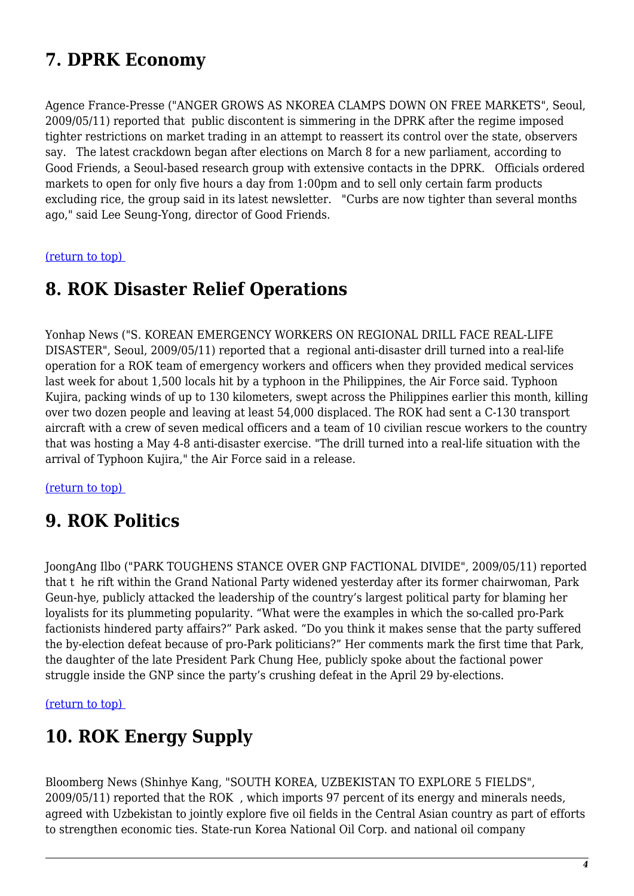## **7. DPRK Economy**

Agence France-Presse ("ANGER GROWS AS NKOREA CLAMPS DOWN ON FREE MARKETS", Seoul, 2009/05/11) reported that public discontent is simmering in the DPRK after the regime imposed tighter restrictions on market trading in an attempt to reassert its control over the state, observers say. The latest crackdown began after elections on March 8 for a new parliament, according to Good Friends, a Seoul-based research group with extensive contacts in the DPRK. Officials ordered markets to open for only five hours a day from 1:00pm and to sell only certain farm products excluding rice, the group said in its latest newsletter. "Curbs are now tighter than several months ago," said Lee Seung-Yong, director of Good Friends.

<span id="page-3-0"></span>[\(return to top\)](#page-0-0) 

## **8. ROK Disaster Relief Operations**

Yonhap News ("S. KOREAN EMERGENCY WORKERS ON REGIONAL DRILL FACE REAL-LIFE DISASTER", Seoul, 2009/05/11) reported that a regional anti-disaster drill turned into a real-life operation for a ROK team of emergency workers and officers when they provided medical services last week for about 1,500 locals hit by a typhoon in the Philippines, the Air Force said. Typhoon Kujira, packing winds of up to 130 kilometers, swept across the Philippines earlier this month, killing over two dozen people and leaving at least 54,000 displaced. The ROK had sent a C-130 transport aircraft with a crew of seven medical officers and a team of 10 civilian rescue workers to the country that was hosting a May 4-8 anti-disaster exercise. "The drill turned into a real-life situation with the arrival of Typhoon Kujira," the Air Force said in a release.

<span id="page-3-1"></span>[\(return to top\)](#page-0-0) 

## **9. ROK Politics**

JoongAng Ilbo ("PARK TOUGHENS STANCE OVER GNP FACTIONAL DIVIDE", 2009/05/11) reported that t he rift within the Grand National Party widened yesterday after its former chairwoman, Park Geun-hye, publicly attacked the leadership of the country's largest political party for blaming her loyalists for its plummeting popularity. "What were the examples in which the so-called pro-Park factionists hindered party affairs?" Park asked. "Do you think it makes sense that the party suffered the by-election defeat because of pro-Park politicians?" Her comments mark the first time that Park, the daughter of the late President Park Chung Hee, publicly spoke about the factional power struggle inside the GNP since the party's crushing defeat in the April 29 by-elections.

<span id="page-3-2"></span>[\(return to top\)](#page-0-0) 

## **10. ROK Energy Supply**

Bloomberg News (Shinhye Kang, "SOUTH KOREA, UZBEKISTAN TO EXPLORE 5 FIELDS", 2009/05/11) reported that the ROK , which imports 97 percent of its energy and minerals needs, agreed with Uzbekistan to jointly explore five oil fields in the Central Asian country as part of efforts to strengthen economic ties. State-run Korea National Oil Corp. and national oil company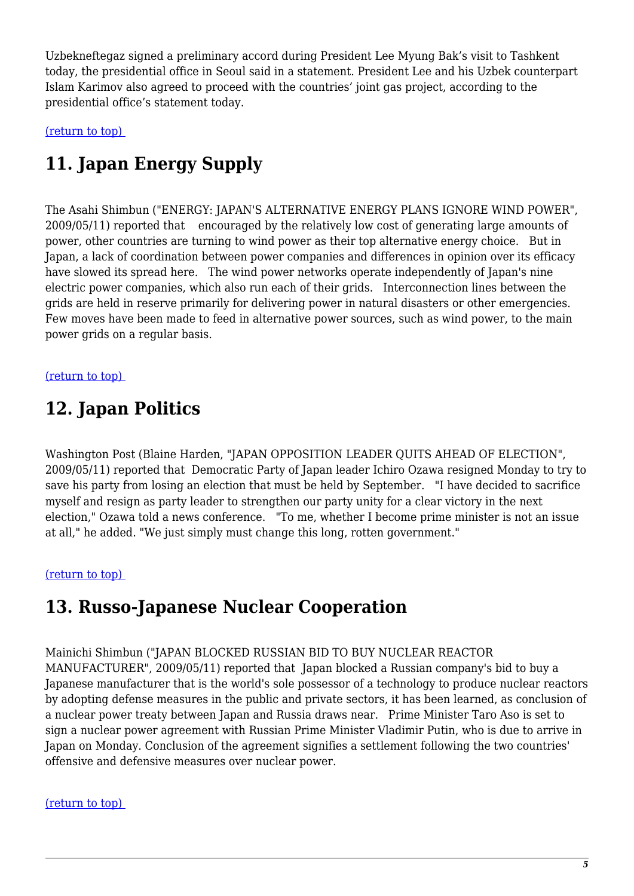Uzbekneftegaz signed a preliminary accord during President Lee Myung Bak's visit to Tashkent today, the presidential office in Seoul said in a statement. President Lee and his Uzbek counterpart Islam Karimov also agreed to proceed with the countries' joint gas project, according to the presidential office's statement today.

<span id="page-4-0"></span>[\(return to top\)](#page-0-0) 

## **11. Japan Energy Supply**

The Asahi Shimbun ("ENERGY: JAPAN'S ALTERNATIVE ENERGY PLANS IGNORE WIND POWER", 2009/05/11) reported that encouraged by the relatively low cost of generating large amounts of power, other countries are turning to wind power as their top alternative energy choice. But in Japan, a lack of coordination between power companies and differences in opinion over its efficacy have slowed its spread here. The wind power networks operate independently of Japan's nine electric power companies, which also run each of their grids. Interconnection lines between the grids are held in reserve primarily for delivering power in natural disasters or other emergencies. Few moves have been made to feed in alternative power sources, such as wind power, to the main power grids on a regular basis.

<span id="page-4-1"></span>[\(return to top\)](#page-0-0) 

## **12. Japan Politics**

Washington Post (Blaine Harden, "JAPAN OPPOSITION LEADER QUITS AHEAD OF ELECTION", 2009/05/11) reported that Democratic Party of Japan leader Ichiro Ozawa resigned Monday to try to save his party from losing an election that must be held by September. "I have decided to sacrifice myself and resign as party leader to strengthen our party unity for a clear victory in the next election," Ozawa told a news conference. "To me, whether I become prime minister is not an issue at all," he added. "We just simply must change this long, rotten government."

<span id="page-4-2"></span>[\(return to top\)](#page-0-0) 

## **13. Russo-Japanese Nuclear Cooperation**

Mainichi Shimbun ("JAPAN BLOCKED RUSSIAN BID TO BUY NUCLEAR REACTOR MANUFACTURER", 2009/05/11) reported that Japan blocked a Russian company's bid to buy a Japanese manufacturer that is the world's sole possessor of a technology to produce nuclear reactors by adopting defense measures in the public and private sectors, it has been learned, as conclusion of a nuclear power treaty between Japan and Russia draws near. Prime Minister Taro Aso is set to sign a nuclear power agreement with Russian Prime Minister Vladimir Putin, who is due to arrive in Japan on Monday. Conclusion of the agreement signifies a settlement following the two countries' offensive and defensive measures over nuclear power.

#### <span id="page-4-3"></span>[\(return to top\)](#page-0-0)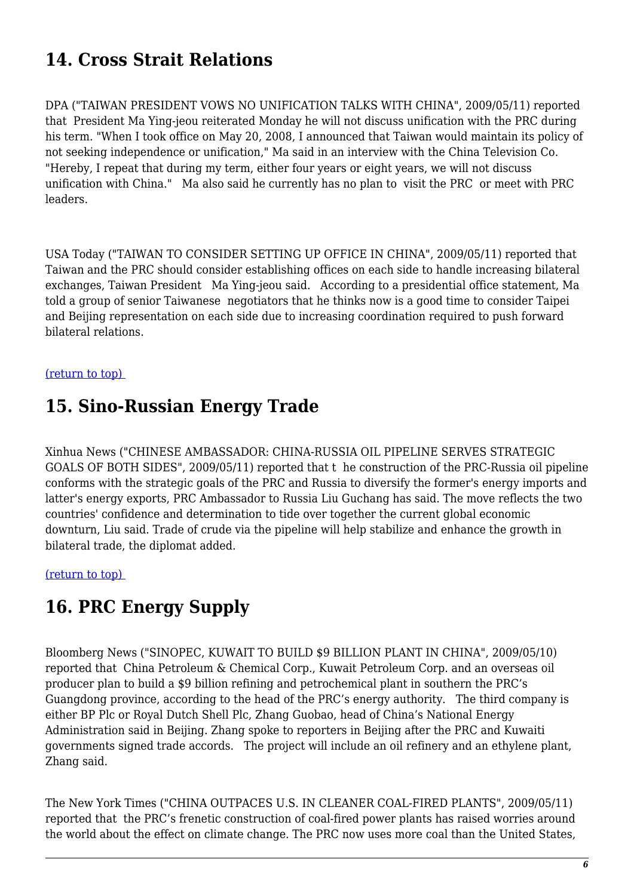## **14. Cross Strait Relations**

DPA ("TAIWAN PRESIDENT VOWS NO UNIFICATION TALKS WITH CHINA", 2009/05/11) reported that President Ma Ying-jeou reiterated Monday he will not discuss unification with the PRC during his term. "When I took office on May 20, 2008, I announced that Taiwan would maintain its policy of not seeking independence or unification," Ma said in an interview with the China Television Co. "Hereby, I repeat that during my term, either four years or eight years, we will not discuss unification with China." Ma also said he currently has no plan to visit the PRC or meet with PRC leaders.

USA Today ("TAIWAN TO CONSIDER SETTING UP OFFICE IN CHINA", 2009/05/11) reported that Taiwan and the PRC should consider establishing offices on each side to handle increasing bilateral exchanges, Taiwan President Ma Ying-jeou said. According to a presidential office statement, Ma told a group of senior Taiwanese negotiators that he thinks now is a good time to consider Taipei and Beijing representation on each side due to increasing coordination required to push forward bilateral relations.

#### <span id="page-5-0"></span>[\(return to top\)](#page-0-0)

## **15. Sino-Russian Energy Trade**

Xinhua News ("CHINESE AMBASSADOR: CHINA-RUSSIA OIL PIPELINE SERVES STRATEGIC GOALS OF BOTH SIDES", 2009/05/11) reported that t he construction of the PRC-Russia oil pipeline conforms with the strategic goals of the PRC and Russia to diversify the former's energy imports and latter's energy exports, PRC Ambassador to Russia Liu Guchang has said. The move reflects the two countries' confidence and determination to tide over together the current global economic downturn, Liu said. Trade of crude via the pipeline will help stabilize and enhance the growth in bilateral trade, the diplomat added.

<span id="page-5-1"></span>[\(return to top\)](#page-0-0) 

### **16. PRC Energy Supply**

Bloomberg News ("SINOPEC, KUWAIT TO BUILD \$9 BILLION PLANT IN CHINA", 2009/05/10) reported that China Petroleum & Chemical Corp., Kuwait Petroleum Corp. and an overseas oil producer plan to build a \$9 billion refining and petrochemical plant in southern the PRC's Guangdong province, according to the head of the PRC's energy authority. The third company is either BP Plc or Royal Dutch Shell Plc, Zhang Guobao, head of China's National Energy Administration said in Beijing. Zhang spoke to reporters in Beijing after the PRC and Kuwaiti governments signed trade accords. The project will include an oil refinery and an ethylene plant, Zhang said.

The New York Times ("CHINA OUTPACES U.S. IN CLEANER COAL-FIRED PLANTS", 2009/05/11) reported that the PRC's frenetic construction of coal-fired power plants has raised worries around the world about the effect on climate change. The PRC now uses more coal than the United States,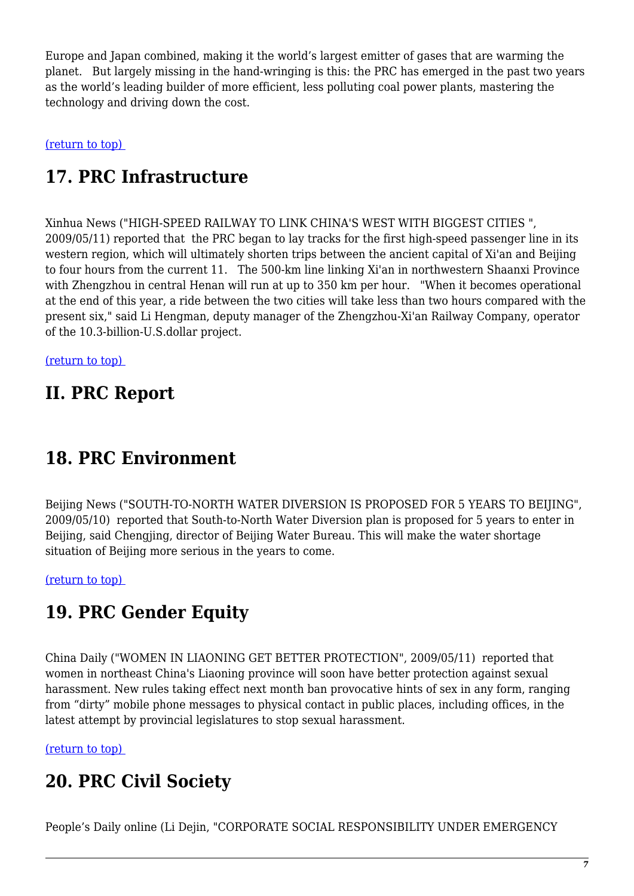Europe and Japan combined, making it the world's largest emitter of gases that are warming the planet. But largely missing in the hand-wringing is this: the PRC has emerged in the past two years as the world's leading builder of more efficient, less polluting coal power plants, mastering the technology and driving down the cost.

<span id="page-6-0"></span>[\(return to top\)](#page-0-0) 

## **17. PRC Infrastructure**

Xinhua News ("HIGH-SPEED RAILWAY TO LINK CHINA'S WEST WITH BIGGEST CITIES ", 2009/05/11) reported that the PRC began to lay tracks for the first high-speed passenger line in its western region, which will ultimately shorten trips between the ancient capital of Xi'an and Beijing to four hours from the current 11. The 500-km line linking Xi'an in northwestern Shaanxi Province with Zhengzhou in central Henan will run at up to 350 km per hour. "When it becomes operational at the end of this year, a ride between the two cities will take less than two hours compared with the present six," said Li Hengman, deputy manager of the Zhengzhou-Xi'an Railway Company, operator of the 10.3-billion-U.S.dollar project.

[\(return to top\)](#page-0-0) 

### **II. PRC Report**

### <span id="page-6-1"></span>**18. PRC Environment**

Beijing News ("SOUTH-TO-NORTH WATER DIVERSION IS PROPOSED FOR 5 YEARS TO BEIJING", 2009/05/10) reported that South-to-North Water Diversion plan is proposed for 5 years to enter in Beijing, said Chengjing, director of Beijing Water Bureau. This will make the water shortage situation of Beijing more serious in the years to come.

<span id="page-6-2"></span>[\(return to top\)](#page-0-0) 

## **19. PRC Gender Equity**

China Daily ("WOMEN IN LIAONING GET BETTER PROTECTION", 2009/05/11) reported that women in northeast China's Liaoning province will soon have better protection against sexual harassment. New rules taking effect next month ban provocative hints of sex in any form, ranging from "dirty" mobile phone messages to physical contact in public places, including offices, in the latest attempt by provincial legislatures to stop sexual harassment.

<span id="page-6-3"></span>[\(return to top\)](#page-0-0) 

## **20. PRC Civil Society**

People's Daily online (Li Dejin, "CORPORATE SOCIAL RESPONSIBILITY UNDER EMERGENCY